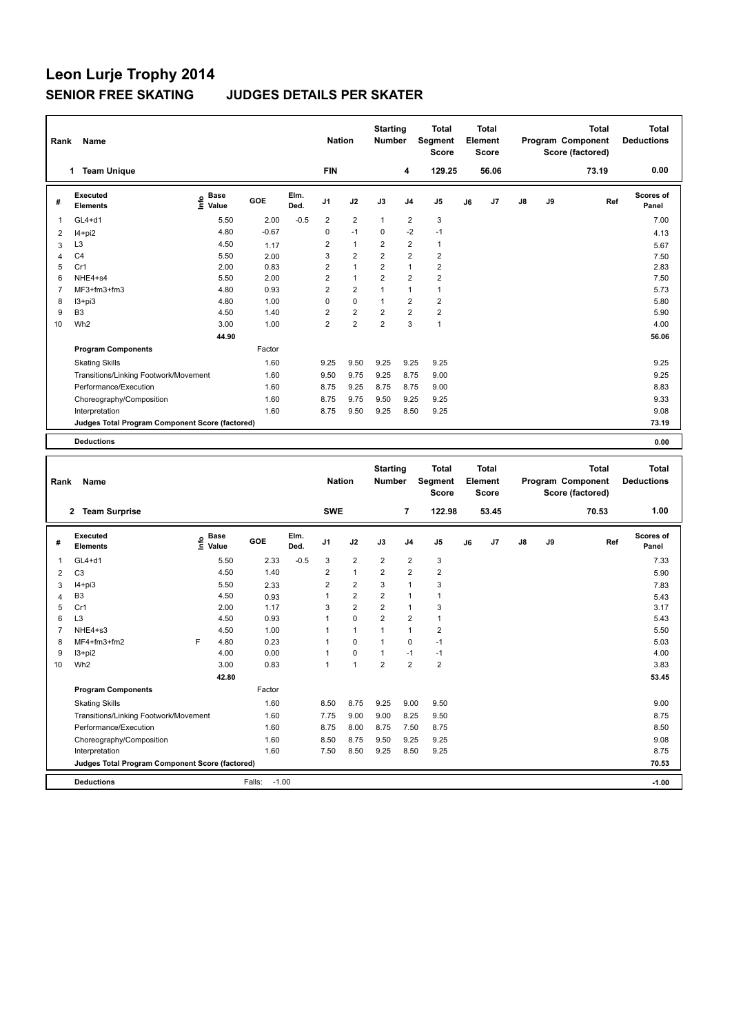| Rank           | Name                                                   |                                           |         |              | <b>Nation</b>           |                         | <b>Starting</b><br><b>Number</b> |                | Total<br><b>Segment</b><br><b>Score</b> |    | Total<br>Element<br><b>Score</b> |    |    | <b>Total</b><br>Program Component<br>Score (factored) | <b>Total</b><br><b>Deductions</b> |
|----------------|--------------------------------------------------------|-------------------------------------------|---------|--------------|-------------------------|-------------------------|----------------------------------|----------------|-----------------------------------------|----|----------------------------------|----|----|-------------------------------------------------------|-----------------------------------|
|                | 1 Team Unique                                          |                                           |         |              | <b>FIN</b>              |                         |                                  | 4              | 129.25                                  |    | 56.06                            |    |    | 73.19                                                 | 0.00                              |
| #              | <b>Executed</b><br><b>Elements</b>                     | $\frac{e}{E}$ Base<br>$\frac{E}{E}$ Value | GOE     | Elm.<br>Ded. | J1                      | J2                      | J3                               | J4             | J5                                      | J6 | J7                               | J8 | J9 | Ref                                                   | <b>Scores of</b><br>Panel         |
| $\mathbf{1}$   | $GL4+d1$                                               | 5.50                                      | 2.00    | $-0.5$       | $\overline{\mathbf{c}}$ | $\overline{\mathbf{c}}$ | $\mathbf{1}$                     | 2              | 3                                       |    |                                  |    |    |                                                       | 7.00                              |
| $\overline{2}$ | $I4+pi2$                                               | 4.80                                      | $-0.67$ |              | 0                       | $-1$                    | $\mathbf 0$                      | $-2$           | $-1$                                    |    |                                  |    |    |                                                       | 4.13                              |
| 3              | L <sub>3</sub>                                         | 4.50                                      | 1.17    |              | $\overline{2}$          | $\mathbf{1}$            | $\overline{2}$                   | 2              | 1                                       |    |                                  |    |    |                                                       | 5.67                              |
| $\overline{4}$ | C <sub>4</sub>                                         | 5.50                                      | 2.00    |              | 3                       | $\overline{2}$          | $\overline{2}$                   | $\overline{2}$ | $\overline{2}$                          |    |                                  |    |    |                                                       | 7.50                              |
| 5              | Cr1                                                    | 2.00                                      | 0.83    |              | $\overline{2}$          | $\mathbf{1}$            | $\overline{2}$                   | 1              | $\overline{2}$                          |    |                                  |    |    |                                                       | 2.83                              |
| 6              | NHE4+s4                                                | 5.50                                      | 2.00    |              | $\overline{2}$          | $\mathbf{1}$            | $\overline{2}$                   | 2              | $\overline{2}$                          |    |                                  |    |    |                                                       | 7.50                              |
| 7              | MF3+fm3+fm3                                            | 4.80                                      | 0.93    |              | $\overline{2}$          | $\overline{2}$          | $\mathbf{1}$                     | 1              | $\mathbf{1}$                            |    |                                  |    |    |                                                       | 5.73                              |
| 8              | $13 + pi3$                                             | 4.80                                      | 1.00    |              | $\mathbf 0$             | 0                       | $\mathbf{1}$                     | $\overline{2}$ | $\overline{\mathbf{c}}$                 |    |                                  |    |    |                                                       | 5.80                              |
| 9              | B <sub>3</sub>                                         | 4.50                                      | 1.40    |              | $\overline{2}$          | $\overline{\mathbf{c}}$ | $\overline{2}$                   | $\overline{2}$ | $\overline{2}$                          |    |                                  |    |    |                                                       | 5.90                              |
| 10             | Wh <sub>2</sub>                                        | 3.00                                      | 1.00    |              | $\overline{2}$          | $\overline{2}$          | $\overline{2}$                   | 3              | $\mathbf{1}$                            |    |                                  |    |    |                                                       | 4.00                              |
|                |                                                        | 44.90                                     |         |              |                         |                         |                                  |                |                                         |    |                                  |    |    |                                                       | 56.06                             |
|                | <b>Program Components</b>                              |                                           | Factor  |              |                         |                         |                                  |                |                                         |    |                                  |    |    |                                                       |                                   |
|                | <b>Skating Skills</b>                                  |                                           | 1.60    |              | 9.25                    | 9.50                    | 9.25                             | 9.25           | 9.25                                    |    |                                  |    |    |                                                       | 9.25                              |
|                | Transitions/Linking Footwork/Movement                  |                                           | 1.60    |              | 9.50                    | 9.75                    | 9.25                             | 8.75           | 9.00                                    |    |                                  |    |    |                                                       | 9.25                              |
|                | Performance/Execution                                  |                                           | 1.60    |              | 8.75                    | 9.25                    | 8.75                             | 8.75           | 9.00                                    |    |                                  |    |    |                                                       | 8.83                              |
|                | Choreography/Composition                               |                                           | 1.60    |              | 8.75                    | 9.75                    | 9.50                             | 9.25           | 9.25                                    |    |                                  |    |    |                                                       | 9.33                              |
|                | Interpretation                                         |                                           | 1.60    |              | 8.75                    | 9.50                    | 9.25                             | 8.50           | 9.25                                    |    |                                  |    |    |                                                       | 9.08                              |
|                | <b>Judges Total Program Component Score (factored)</b> |                                           |         |              |                         |                         |                                  |                |                                         |    |                                  |    |    |                                                       | 73.19                             |
|                | <b>Deductions</b>                                      |                                           |         |              |                         |                         |                                  |                |                                         |    |                                  |    |    |                                                       | 0.00                              |
|                |                                                        |                                           |         |              |                         |                         |                                  |                |                                         |    |                                  |    |    |                                                       |                                   |
|                |                                                        |                                           |         |              |                         |                         |                                  |                |                                         |    |                                  |    |    |                                                       |                                   |
|                |                                                        |                                           |         |              |                         |                         |                                  |                | Total                                   |    | <b>Total</b>                     |    |    | <b>Total</b>                                          | <b>Total</b>                      |
| Rank           | Name                                                   |                                           |         |              | <b>Nation</b>           |                         | <b>Starting</b><br><b>Number</b> |                | Segment                                 |    | Element                          |    |    | Program Component                                     | <b>Deductions</b>                 |
|                |                                                        |                                           |         |              |                         |                         |                                  |                | <b>Score</b>                            |    | <b>Score</b>                     |    |    | Score (factored)                                      |                                   |
|                |                                                        |                                           |         |              |                         |                         |                                  |                |                                         |    |                                  |    |    |                                                       |                                   |
|                | 2 Team Surprise                                        |                                           |         |              | <b>SWE</b>              |                         |                                  | $\overline{7}$ | 122.98                                  |    | 53.45                            |    |    | 70.53                                                 | 1.00                              |
| #              | <b>Executed</b><br><b>Elements</b>                     | $\overset{\circ}{\text{E}}$ Value         | GOE     | Elm.<br>Ded. | J1                      | J2                      | J3                               | J4             | J5                                      | J6 | J7                               | J8 | J9 | Ref                                                   | <b>Scores of</b><br>Panel         |
| 1              | GL4+d1                                                 | 5.50                                      | 2.33    | $-0.5$       | 3                       | 2                       | $\overline{\mathbf{c}}$          | 2              | 3                                       |    |                                  |    |    |                                                       | 7.33                              |
| $\overline{2}$ | C <sub>3</sub>                                         | 4.50                                      | 1.40    |              | $\overline{\mathbf{c}}$ | $\mathbf{1}$            | $\overline{2}$                   | 2              | $\overline{\mathbf{c}}$                 |    |                                  |    |    |                                                       | 5.90                              |
| 3              | $I4 + pi3$                                             | 5.50                                      | 2.33    |              | $\overline{\mathbf{c}}$ | $\overline{2}$          | 3                                | 1              | 3                                       |    |                                  |    |    |                                                       | 7.83                              |
| $\overline{4}$ | B <sub>3</sub>                                         | 4.50                                      | 0.93    |              | $\mathbf{1}$            | $\overline{2}$          | $\overline{2}$                   | 1              | $\mathbf{1}$                            |    |                                  |    |    |                                                       | 5.43                              |
| 5              | Cr1                                                    | 2.00                                      | 1.17    |              | 3                       | $\overline{2}$          | $\overline{2}$                   | 1              | 3                                       |    |                                  |    |    |                                                       | 3.17                              |
| 6              | L <sub>3</sub>                                         | 4.50                                      | 0.93    |              | $\mathbf{1}$            | 0                       | $\overline{2}$                   | $\overline{2}$ | $\mathbf{1}$                            |    |                                  |    |    |                                                       | 5.43                              |
| $\overline{7}$ | NHE4+s3                                                | 4.50                                      | 1.00    |              | $\mathbf{1}$            | $\mathbf{1}$            | $\mathbf{1}$                     | 1              | $\mathbf 2$                             |    |                                  |    |    |                                                       | 5.50                              |
| 8              | MF4+fm3+fm2                                            | 4.80<br>F                                 | 0.23    |              | 1                       | 0                       | $\mathbf{1}$                     | 0              | $-1$                                    |    |                                  |    |    |                                                       | 5.03                              |
| 9              | $13 + pi2$                                             | 4.00                                      | 0.00    |              | $\mathbf{1}$            | 0                       | $\mathbf{1}$                     | $-1$           | $-1$                                    |    |                                  |    |    |                                                       | 4.00                              |
| 10             | Wh <sub>2</sub>                                        | 3.00                                      | 0.83    |              |                         |                         | $\mathbf{z}$                     | 2              | 2                                       |    |                                  |    |    |                                                       | 3.83                              |
|                |                                                        | 42.80                                     |         |              |                         |                         |                                  |                |                                         |    |                                  |    |    |                                                       | 53.45                             |
|                | <b>Program Components</b>                              |                                           | Factor  |              |                         |                         |                                  |                |                                         |    |                                  |    |    |                                                       |                                   |
|                | <b>Skating Skills</b>                                  |                                           | 1.60    |              | 8.50                    | 8.75                    | 9.25                             | 9.00           | 9.50                                    |    |                                  |    |    |                                                       | 9.00                              |
|                | Transitions/Linking Footwork/Movement                  |                                           | 1.60    |              | 7.75                    | 9.00                    | 9.00                             | 8.25           | 9.50                                    |    |                                  |    |    |                                                       | 8.75                              |
|                | Performance/Execution                                  |                                           | 1.60    |              | 8.75                    | 8.00                    | 8.75                             | 7.50           | 8.75                                    |    |                                  |    |    |                                                       | 8.50                              |
|                | Choreography/Composition                               |                                           | 1.60    |              | 8.50                    | 8.75                    | 9.50                             | 9.25           | 9.25                                    |    |                                  |    |    |                                                       | 9.08                              |
|                | Interpretation                                         |                                           | 1.60    |              | 7.50                    | 8.50                    | 9.25                             | 8.50           | 9.25                                    |    |                                  |    |    |                                                       | 8.75                              |
|                | Judges Total Program Component Score (factored)        |                                           |         |              |                         |                         |                                  |                |                                         |    |                                  |    |    |                                                       | 70.53                             |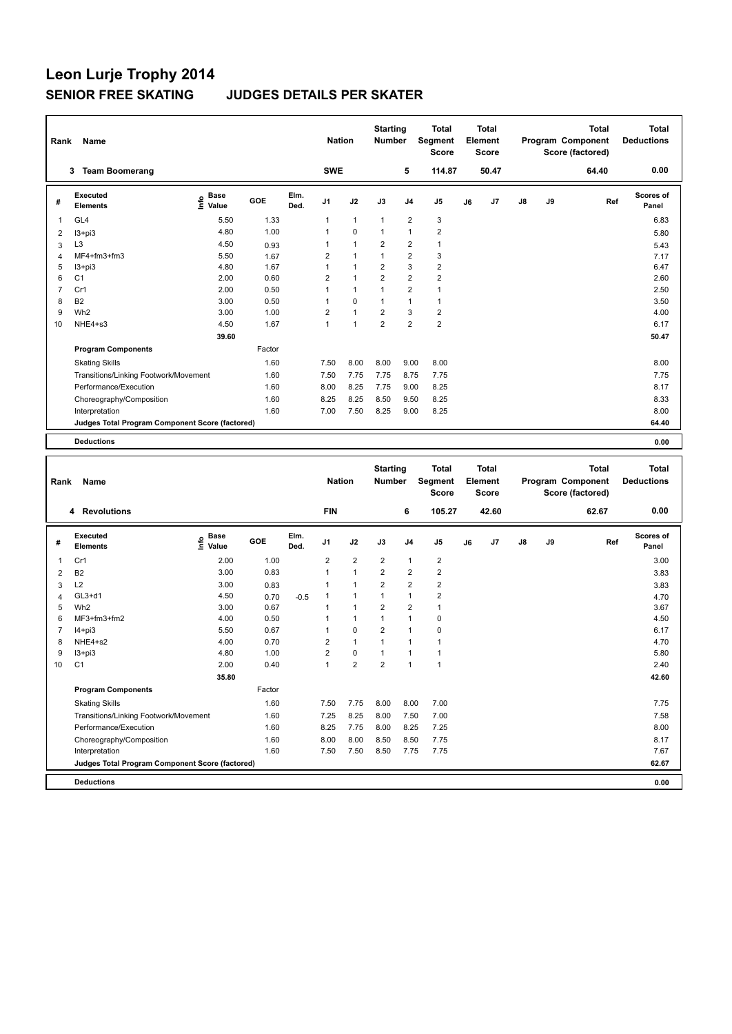| Rank                    | Name<br>3 Team Boomerang                        |                                      |              |              | <b>Nation</b><br><b>SWE</b>    |                | <b>Starting</b><br><b>Number</b>        | 5              | Total<br>Segment<br>Score<br>114.87 |    | <b>Total</b><br>Element<br>Score<br>50.47 |    |    | <b>Total</b><br>Program Component<br>Score (factored)<br>64.40 | <b>Total</b><br><b>Deductions</b><br>0.00 |
|-------------------------|-------------------------------------------------|--------------------------------------|--------------|--------------|--------------------------------|----------------|-----------------------------------------|----------------|-------------------------------------|----|-------------------------------------------|----|----|----------------------------------------------------------------|-------------------------------------------|
|                         |                                                 |                                      |              |              |                                |                |                                         |                |                                     |    |                                           |    |    |                                                                |                                           |
| #                       | <b>Executed</b><br><b>Elements</b>              | e Base<br>⊆ Value                    | GOE          | Elm.<br>Ded. | J1                             | J2             | J3                                      | J4             | J5                                  | J6 | J7                                        | J8 | J9 | Ref                                                            | <b>Scores of</b><br>Panel                 |
| 1                       | GL <sub>4</sub>                                 | 5.50                                 | 1.33         |              | 1                              | $\mathbf{1}$   | $\mathbf{1}$                            | 2              | 3                                   |    |                                           |    |    |                                                                | 6.83                                      |
| $\overline{\mathbf{c}}$ | $13 + pi3$                                      | 4.80                                 | 1.00         |              | 1                              | 0              | $\mathbf{1}$                            | $\mathbf{1}$   | $\overline{\mathbf{c}}$             |    |                                           |    |    |                                                                | 5.80                                      |
| 3                       | L <sub>3</sub>                                  | 4.50                                 | 0.93         |              | 1                              | $\mathbf{1}$   | $\overline{2}$                          | 2              | $\mathbf{1}$                        |    |                                           |    |    |                                                                | 5.43                                      |
| $\overline{4}$          | MF4+fm3+fm3                                     | 5.50                                 | 1.67         |              | $\overline{2}$                 | $\mathbf{1}$   | $\mathbf{1}$                            | 2              | 3                                   |    |                                           |    |    |                                                                | 7.17                                      |
| 5                       | $13 + pi3$                                      | 4.80                                 | 1.67         |              | $\mathbf{1}$                   | $\mathbf{1}$   | $\overline{2}$                          | 3              | $\overline{\mathbf{c}}$             |    |                                           |    |    |                                                                | 6.47                                      |
| 6                       | C <sub>1</sub>                                  | 2.00                                 | 0.60         |              | $\overline{2}$                 | $\mathbf{1}$   | $\overline{2}$                          | 2              | $\overline{\mathbf{c}}$             |    |                                           |    |    |                                                                | 2.60                                      |
| $\overline{7}$          | Cr1                                             | 2.00                                 | 0.50         |              | $\mathbf{1}$                   | $\mathbf{1}$   | $\mathbf{1}$                            | $\overline{2}$ | $\mathbf{1}$                        |    |                                           |    |    |                                                                | 2.50                                      |
| 8                       | B <sub>2</sub>                                  | 3.00                                 | 0.50         |              | 1                              | 0              | $\mathbf{1}$                            | 1              | $\mathbf{1}$                        |    |                                           |    |    |                                                                | 3.50                                      |
| 9                       | Wh <sub>2</sub>                                 | 3.00                                 | 1.00         |              | $\overline{2}$<br>$\mathbf{1}$ | $\mathbf{1}$   | $\overline{2}$<br>$\overline{2}$        | 3              | $\overline{\mathbf{c}}$             |    |                                           |    |    |                                                                | 4.00                                      |
| 10                      | NHE4+s3                                         | 4.50<br>39.60                        | 1.67         |              |                                | $\mathbf{1}$   |                                         | $\overline{2}$ | $\overline{\mathbf{c}}$             |    |                                           |    |    |                                                                | 6.17<br>50.47                             |
|                         | <b>Program Components</b>                       |                                      | Factor       |              |                                |                |                                         |                |                                     |    |                                           |    |    |                                                                |                                           |
|                         | <b>Skating Skills</b>                           |                                      | 1.60         |              | 7.50                           | 8.00           | 8.00                                    | 9.00           | 8.00                                |    |                                           |    |    |                                                                | 8.00                                      |
|                         | Transitions/Linking Footwork/Movement           |                                      | 1.60         |              | 7.50                           | 7.75           | 7.75                                    | 8.75           | 7.75                                |    |                                           |    |    |                                                                | 7.75                                      |
|                         | Performance/Execution                           |                                      | 1.60         |              | 8.00                           | 8.25           | 7.75                                    | 9.00           | 8.25                                |    |                                           |    |    |                                                                | 8.17                                      |
|                         | Choreography/Composition                        |                                      | 1.60         |              | 8.25                           | 8.25           | 8.50                                    | 9.50           | 8.25                                |    |                                           |    |    |                                                                | 8.33                                      |
|                         | Interpretation                                  |                                      | 1.60         |              | 7.00                           | 7.50           | 8.25                                    | 9.00           | 8.25                                |    |                                           |    |    |                                                                | 8.00                                      |
|                         | Judges Total Program Component Score (factored) |                                      |              |              |                                |                |                                         |                |                                     |    |                                           |    |    |                                                                | 64.40                                     |
|                         |                                                 |                                      |              |              |                                |                |                                         |                |                                     |    |                                           |    |    |                                                                |                                           |
|                         | <b>Deductions</b>                               |                                      |              |              |                                |                |                                         |                |                                     |    |                                           |    |    |                                                                | 0.00                                      |
|                         |                                                 |                                      |              |              |                                |                |                                         |                |                                     |    |                                           |    |    |                                                                |                                           |
|                         |                                                 |                                      |              |              |                                |                | <b>Starting</b>                         |                | <b>Total</b>                        |    | <b>Total</b>                              |    |    | <b>Total</b>                                                   | <b>Total</b>                              |
| Rank                    | Name                                            |                                      |              |              | <b>Nation</b>                  |                | <b>Number</b>                           |                | <b>Segment</b><br>Score             |    | Element<br>Score                          |    |    | Program Component<br>Score (factored)                          | <b>Deductions</b>                         |
|                         |                                                 |                                      |              |              |                                |                |                                         |                |                                     |    |                                           |    |    |                                                                | 0.00                                      |
|                         | 4 Revolutions                                   |                                      |              |              | <b>FIN</b>                     |                |                                         | 6              | 105.27                              |    | 42.60                                     |    |    | 62.67                                                          |                                           |
| #                       | Executed<br><b>Elements</b>                     | Base<br>e <sup>Base</sup><br>∑ Value | GOE          | Elm.<br>Ded. | J1                             | J2             | J3                                      | J4             | J5                                  | J6 | J7                                        | J8 | J9 | Ref                                                            | <b>Scores of</b><br>Panel                 |
| 1                       | Cr1                                             | 2.00                                 | 1.00         |              | $\overline{\mathbf{c}}$        | $\overline{2}$ | $\overline{2}$                          | 1              | $\overline{\mathbf{c}}$             |    |                                           |    |    |                                                                | 3.00                                      |
|                         |                                                 | 3.00                                 | 0.83         |              | $\mathbf{1}$                   | $\mathbf{1}$   | $\overline{2}$                          | 2              | $\overline{2}$                      |    |                                           |    |    |                                                                |                                           |
| $\overline{2}$          | B <sub>2</sub>                                  |                                      |              |              | 1                              | $\mathbf{1}$   |                                         |                |                                     |    |                                           |    |    |                                                                | 3.83                                      |
| 3                       | L2<br>$GL3+d1$                                  | 3.00<br>4.50                         | 0.83         |              | 1                              | $\mathbf{1}$   | $\overline{\mathbf{c}}$<br>$\mathbf{1}$ | 2<br>1         | $\overline{2}$<br>$\overline{2}$    |    |                                           |    |    |                                                                | 3.83                                      |
| $\overline{4}$<br>5     | Wh <sub>2</sub>                                 | 3.00                                 | 0.70<br>0.67 | $-0.5$       | 1                              | $\mathbf{1}$   | $\overline{2}$                          | 2              | $\mathbf{1}$                        |    |                                           |    |    |                                                                | 4.70<br>3.67                              |
| 6                       | MF3+fm3+fm2                                     | 4.00                                 | 0.50         |              | 1                              | $\mathbf{1}$   | $\mathbf{1}$                            | $\mathbf{1}$   | 0                                   |    |                                           |    |    |                                                                | 4.50                                      |
| 7                       | $I4 + pi3$                                      | 5.50                                 | 0.67         |              | 1                              | 0              | $\overline{2}$                          | $\mathbf{1}$   | 0                                   |    |                                           |    |    |                                                                | 6.17                                      |
| 8                       | NHE4+s2                                         | 4.00                                 | 0.70         |              | $\overline{2}$                 | $\mathbf{1}$   | $\mathbf{1}$                            | $\mathbf{1}$   | 1                                   |    |                                           |    |    |                                                                | 4.70                                      |
| 9                       | $13 + pi3$                                      | 4.80                                 | 1.00         |              | $\overline{2}$                 | 0              | $\mathbf{1}$                            | 1              | 1                                   |    |                                           |    |    |                                                                | 5.80                                      |
| 10                      | C1                                              | 2.00                                 | 0.40         |              |                                | 2              | 2                                       |                | 1                                   |    |                                           |    |    |                                                                | 2.40                                      |
|                         |                                                 | 35.80                                |              |              |                                |                |                                         |                |                                     |    |                                           |    |    |                                                                | 42.60                                     |
|                         | <b>Program Components</b>                       |                                      | Factor       |              |                                |                |                                         |                |                                     |    |                                           |    |    |                                                                |                                           |
|                         | <b>Skating Skills</b>                           |                                      | 1.60         |              | 7.50                           | 7.75           | 8.00                                    | 8.00           | 7.00                                |    |                                           |    |    |                                                                | 7.75                                      |
|                         | Transitions/Linking Footwork/Movement           |                                      | 1.60         |              | 7.25                           | 8.25           | 8.00                                    | 7.50           | 7.00                                |    |                                           |    |    |                                                                | 7.58                                      |
|                         | Performance/Execution                           |                                      | 1.60         |              | 8.25                           | 7.75           | 8.00                                    | 8.25           | 7.25                                |    |                                           |    |    |                                                                | 8.00                                      |
|                         | Choreography/Composition                        |                                      | 1.60         |              | 8.00                           | 8.00           | 8.50                                    | 8.50           | 7.75                                |    |                                           |    |    |                                                                | 8.17                                      |
|                         | Interpretation                                  |                                      | 1.60         |              | 7.50                           | 7.50           | 8.50                                    | 7.75           | 7.75                                |    |                                           |    |    |                                                                | 7.67                                      |
|                         | Judges Total Program Component Score (factored) |                                      |              |              |                                |                |                                         |                |                                     |    |                                           |    |    |                                                                | 62.67                                     |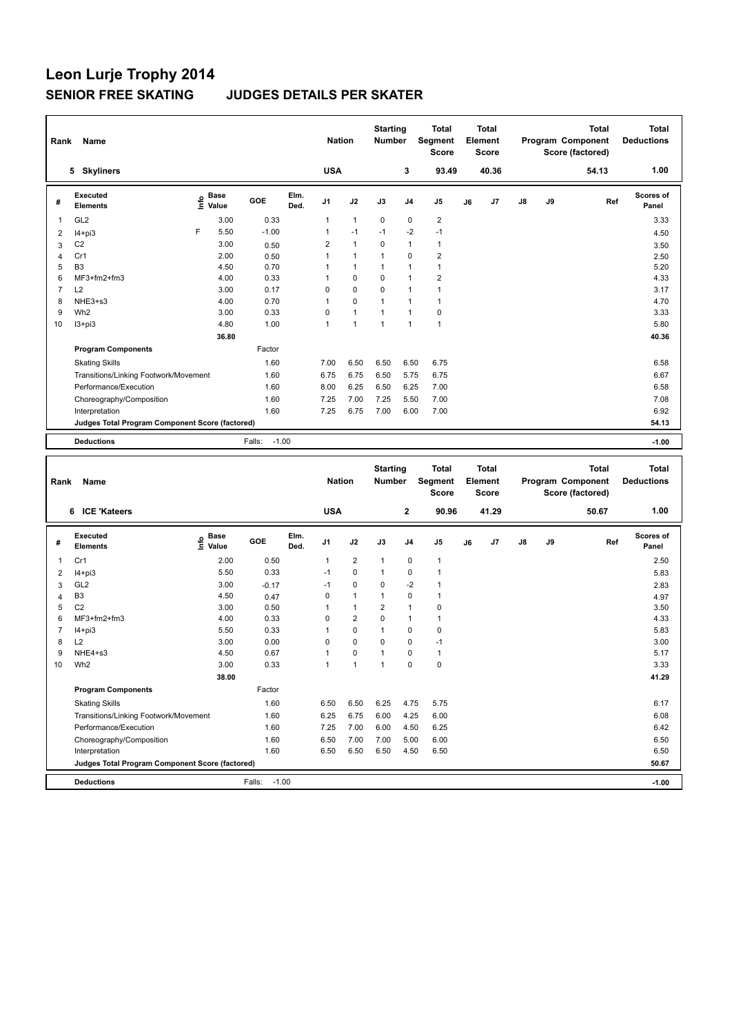| Rank           | Name                                                           |                                   |                   |              | <b>Nation</b>     |                         | <b>Starting</b><br>Number        |                   | <b>Total</b><br>Segment<br>Score        |    | <b>Total</b><br>Element<br><b>Score</b> |    |    | Total<br>Program Component<br>Score (factored)        | <b>Total</b><br><b>Deductions</b> |
|----------------|----------------------------------------------------------------|-----------------------------------|-------------------|--------------|-------------------|-------------------------|----------------------------------|-------------------|-----------------------------------------|----|-----------------------------------------|----|----|-------------------------------------------------------|-----------------------------------|
|                | 5 Skyliners                                                    |                                   |                   |              | <b>USA</b>        |                         |                                  | 3                 | 93.49                                   |    | 40.36                                   |    |    | 54.13                                                 | 1.00                              |
| #              | Executed<br><b>Elements</b>                                    | Base<br>$\frac{6}{5}$ Value       | GOE               | Elm.<br>Ded. | J1                | J2                      | J3                               | J4                | J5                                      | J6 | J7                                      | J8 | J9 | Ref                                                   | <b>Scores of</b><br>Panel         |
| 1              | GL <sub>2</sub>                                                | 3.00                              | 0.33              |              | 1                 | $\mathbf{1}$            | 0                                | 0                 | $\overline{\mathbf{c}}$                 |    |                                         |    |    |                                                       | 3.33                              |
| $\overline{2}$ | $I4 + pi3$                                                     | F<br>5.50                         | $-1.00$           |              | 1                 | $-1$                    | $-1$                             | $-2$              | $-1$                                    |    |                                         |    |    |                                                       | 4.50                              |
| 3              | C <sub>2</sub>                                                 | 3.00                              | 0.50              |              | $\overline{2}$    | $\mathbf{1}$            | $\mathbf 0$                      | $\mathbf{1}$      | $\mathbf{1}$                            |    |                                         |    |    |                                                       | 3.50                              |
| $\overline{4}$ | Cr1                                                            | 2.00                              | 0.50              |              | $\mathbf{1}$      | $\mathbf{1}$            | $\mathbf{1}$                     | 0                 | 2                                       |    |                                         |    |    |                                                       | 2.50                              |
| 5              | B <sub>3</sub>                                                 | 4.50                              | 0.70              |              | $\mathbf{1}$      | $\mathbf{1}$            | $\mathbf{1}$                     | 1                 | 1                                       |    |                                         |    |    |                                                       | 5.20                              |
| 6              | MF3+fm2+fm3                                                    | 4.00                              | 0.33              |              | $\mathbf{1}$      | 0                       | $\mathbf 0$                      | 1                 | $\overline{\mathbf{c}}$                 |    |                                         |    |    |                                                       | 4.33                              |
| $\overline{7}$ | L <sub>2</sub>                                                 | 3.00                              | 0.17              |              | $\mathbf 0$       | 0                       | $\mathbf 0$                      | 1                 | $\mathbf{1}$                            |    |                                         |    |    |                                                       | 3.17                              |
| 8<br>9         | NHE3+s3<br>Wh <sub>2</sub>                                     | 4.00<br>3.00                      | 0.70<br>0.33      |              | $\mathbf{1}$<br>0 | 0<br>$\mathbf{1}$       | 1<br>$\mathbf{1}$                | 1<br>$\mathbf{1}$ | $\mathbf{1}$<br>0                       |    |                                         |    |    |                                                       | 4.70                              |
| 10             | $13 + pi3$                                                     | 4.80                              | 1.00              |              | $\mathbf{1}$      | $\mathbf{1}$            | $\mathbf{1}$                     | $\mathbf{1}$      | $\mathbf{1}$                            |    |                                         |    |    |                                                       | 3.33<br>5.80                      |
|                |                                                                | 36.80                             |                   |              |                   |                         |                                  |                   |                                         |    |                                         |    |    |                                                       | 40.36                             |
|                | <b>Program Components</b>                                      |                                   | Factor            |              |                   |                         |                                  |                   |                                         |    |                                         |    |    |                                                       |                                   |
|                |                                                                |                                   |                   |              |                   |                         |                                  |                   |                                         |    |                                         |    |    |                                                       |                                   |
|                | <b>Skating Skills</b>                                          |                                   | 1.60              |              | 7.00              | 6.50                    | 6.50                             | 6.50              | 6.75                                    |    |                                         |    |    |                                                       | 6.58                              |
|                | Transitions/Linking Footwork/Movement<br>Performance/Execution |                                   | 1.60              |              | 6.75              | 6.75                    | 6.50                             | 5.75              | 6.75                                    |    |                                         |    |    |                                                       | 6.67                              |
|                |                                                                |                                   | 1.60              |              | 8.00              | 6.25<br>7.00            | 6.50<br>7.25                     | 6.25              | 7.00                                    |    |                                         |    |    |                                                       | 6.58                              |
|                | Choreography/Composition<br>Interpretation                     |                                   | 1.60<br>1.60      |              | 7.25<br>7.25      | 6.75                    | 7.00                             | 5.50<br>6.00      | 7.00<br>7.00                            |    |                                         |    |    |                                                       | 7.08<br>6.92                      |
|                | Judges Total Program Component Score (factored)                |                                   |                   |              |                   |                         |                                  |                   |                                         |    |                                         |    |    |                                                       | 54.13                             |
|                |                                                                |                                   |                   |              |                   |                         |                                  |                   |                                         |    |                                         |    |    |                                                       |                                   |
|                | <b>Deductions</b>                                              |                                   | Falls:<br>$-1.00$ |              |                   |                         |                                  |                   |                                         |    |                                         |    |    |                                                       | $-1.00$                           |
|                |                                                                |                                   |                   |              |                   |                         |                                  |                   |                                         |    |                                         |    |    |                                                       |                                   |
| Rank           | Name                                                           |                                   |                   |              | <b>Nation</b>     |                         | <b>Starting</b><br><b>Number</b> |                   | <b>Total</b><br>Segment<br><b>Score</b> |    | <b>Total</b><br>Element<br><b>Score</b> |    |    | <b>Total</b><br>Program Component<br>Score (factored) | <b>Total</b><br><b>Deductions</b> |
|                | 6 ICE 'Kateers                                                 |                                   |                   |              | <b>USA</b>        |                         |                                  | $\mathbf 2$       | 90.96                                   |    | 41.29                                   |    |    | 50.67                                                 | 1.00                              |
| #              | <b>Executed</b><br><b>Elements</b>                             | $\overset{\circ}{\text{E}}$ Value | GOE               | Elm.<br>Ded. | J1                | J2                      | J3                               | J4                | J5                                      | J6 | J7                                      | J8 | J9 | Ref                                                   | <b>Scores of</b><br>Panel         |
| $\mathbf{1}$   | Cr1                                                            | 2.00                              | 0.50              |              | $\mathbf{1}$      | $\overline{\mathbf{c}}$ | $\mathbf{1}$                     | 0                 | $\mathbf{1}$                            |    |                                         |    |    |                                                       | 2.50                              |
| $\overline{2}$ | $I4 + pi3$                                                     | 5.50                              | 0.33              |              | $-1$              | 0                       | $\mathbf{1}$                     | 0                 | 1                                       |    |                                         |    |    |                                                       | 5.83                              |
| 3              | GL <sub>2</sub>                                                | 3.00                              | $-0.17$           |              | $-1$              | 0                       | $\mathbf 0$                      | $-2$              | 1                                       |    |                                         |    |    |                                                       | 2.83                              |
| $\overline{4}$ | B <sub>3</sub>                                                 | 4.50                              | 0.47              |              | $\mathbf 0$       | $\mathbf{1}$            | 1                                | 0                 | 1                                       |    |                                         |    |    |                                                       | 4.97                              |
| 5              | C <sub>2</sub>                                                 | 3.00                              | 0.50              |              | 1                 | $\mathbf{1}$            | $\overline{2}$                   | $\mathbf{1}$      | 0                                       |    |                                         |    |    |                                                       | 3.50                              |
| 6              | MF3+fm2+fm3                                                    | 4.00                              | 0.33              |              | 0                 | $\overline{\mathbf{c}}$ | 0                                | 1                 | 1                                       |    |                                         |    |    |                                                       | 4.33                              |
| 7              | $I4 + pi3$                                                     | 5.50                              | 0.33              |              | 1                 | 0                       | $\mathbf{1}$                     | 0                 | 0                                       |    |                                         |    |    |                                                       | 5.83                              |
| 8              | L2                                                             | 3.00                              | 0.00              |              | $\mathbf 0$       | 0                       | 0                                | 0                 | $-1$                                    |    |                                         |    |    |                                                       | 3.00                              |
| 9              | NHE4+s3                                                        | 4.50                              | 0.67              |              | $\mathbf{1}$      | $\mathbf 0$             | $\mathbf{1}$                     | 0                 | $\mathbf{1}$                            |    |                                         |    |    |                                                       | 5.17                              |
| 10             | Wh <sub>2</sub>                                                | 3.00                              | 0.33              |              | $\mathbf{1}$      | $\blacktriangleleft$    | 1                                | 0                 | 0                                       |    |                                         |    |    |                                                       | 3.33                              |
|                |                                                                | 38.00                             |                   |              |                   |                         |                                  |                   |                                         |    |                                         |    |    |                                                       | 41.29                             |
|                | <b>Program Components</b>                                      |                                   | Factor            |              |                   |                         |                                  |                   |                                         |    |                                         |    |    |                                                       |                                   |
|                | <b>Skating Skills</b>                                          |                                   | 1.60              |              | 6.50              | 6.50                    | 6.25                             | 4.75              | 5.75                                    |    |                                         |    |    |                                                       | 6.17                              |
|                | Transitions/Linking Footwork/Movement                          |                                   | 1.60              |              | 6.25              | 6.75                    | 6.00                             | 4.25              | 6.00                                    |    |                                         |    |    |                                                       | 6.08                              |
|                | Performance/Execution                                          |                                   | 1.60              |              | 7.25              | 7.00                    | 6.00                             | 4.50              | 6.25                                    |    |                                         |    |    |                                                       | 6.42                              |
|                | Choreography/Composition                                       |                                   | 1.60              |              | 6.50              | 7.00                    | 7.00                             | 5.00              | 6.00                                    |    |                                         |    |    |                                                       | 6.50                              |
|                | Interpretation                                                 |                                   | 1.60              |              | 6.50              | 6.50                    | 6.50                             | 4.50              | 6.50                                    |    |                                         |    |    |                                                       | 6.50                              |
|                | Judges Total Program Component Score (factored)                |                                   |                   |              |                   |                         |                                  |                   |                                         |    |                                         |    |    |                                                       | 50.67                             |